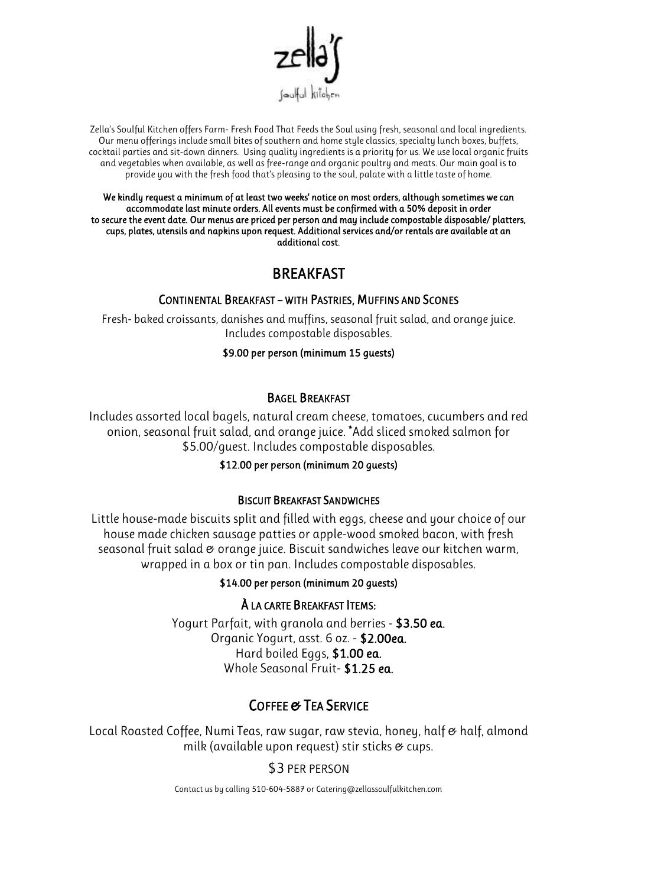

Zella's Soulful Kitchen offers Farm- Fresh Food That Feeds the Soul using fresh, seasonal and local ingredients. Our menu offerings include small bites of southern and home style classics, specialty lunch boxes, buffets, cocktail parties and sit-down dinners. Using quality ingredients is a priority for us. We use local organic fruits and vegetables when available, as well as free-range and organic poultry and meats. Our main goal is to provide you with the fresh food that's pleasing to the soul, palate with a little taste of home.

We kindly request a minimum of at least two weeks' notice on most orders, although sometimes we can accommodate last minute orders. All events must be confirmed with a 50% deposit in order to secure the event date. Our menus are priced per person and may include compostable disposable/ platters, cups, plates, utensils and napkins upon request. Additional services and/or rentals are available at an additional cost.

# BREAKFAST

# CONTINENTAL BREAKFAST – WITH PASTRIES, MUFFINS AND SCONES

Fresh- baked croissants, danishes and muffins, seasonal fruit salad, and orange juice. Includes compostable disposables.

## \$9.00 per person (minimum 15 guests)

# BAGEL BREAKFAST

Includes assorted local bagels, natural cream cheese, tomatoes, cucumbers and red onion, seasonal fruit salad, and orange juice. \*Add sliced smoked salmon for \$5.00/guest. Includes compostable disposables.

## \$12.00 per person (minimum 20 guests)

## BISCUIT BREAKFAST SANDWICHES

Little house-made biscuits split and filled with eggs, cheese and your choice of our house made chicken sausage patties or apple-wood smoked bacon, with fresh seasonal fruit salad & orange juice. Biscuit sandwiches leave our kitchen warm, wrapped in a box or tin pan. Includes compostable disposables.

## \$14.00 per person (minimum 20 guests)

# À LA CARTE BREAKFAST ITEMS:

Yogurt Parfait, with granola and berries - \$3.50 ea. Organic Yogurt, asst. 6 oz. - \$2.00ea. Hard boiled Eggs, \$1.00 ea. Whole Seasonal Fruit- \$1.25 ea.

# COFFEE & TEA SERVICE

Local Roasted Coffee, Numi Teas, raw sugar, raw stevia, honey, half & half, almond milk (available upon request) stir sticks  $e$  cups.

# \$3 PER PERSON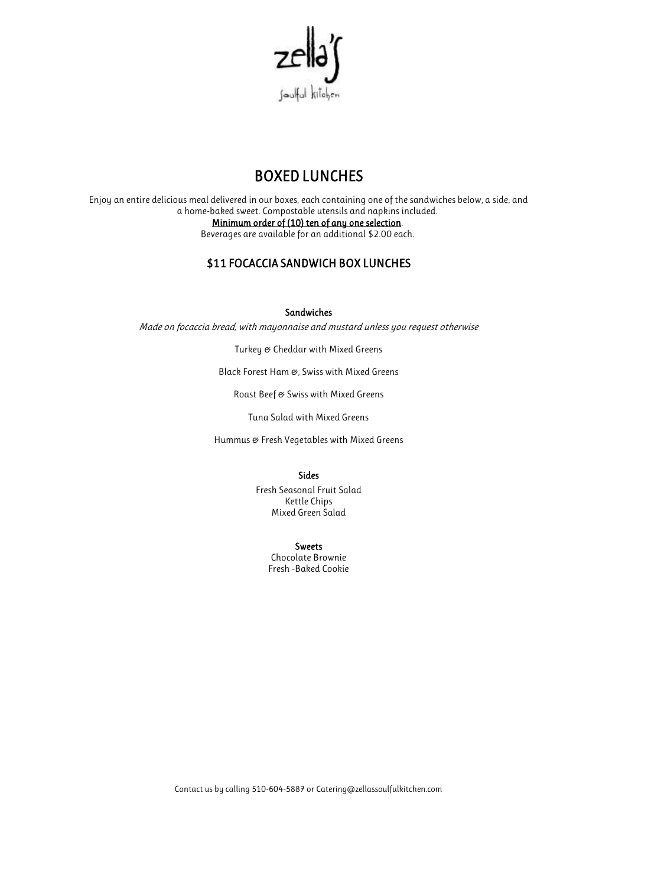zella)

# BOXED LUNCHES

Enjoy an entire delicious meal delivered in our boxes, each containing one of the sandwiches below, a side, and a home-baked sweet. Compostable utensils and napkins included. Minimum order of (10) ten of any one selection. Beverages are available for an additional \$2.00 each.

## \$11 FOCACCIA SANDWICH BOX LUNCHES

#### Sandwiches

Made on focaccia bread, with mayonnaise and mustard unless you request otherwise

Turkey & Cheddar with Mixed Greens

Black Forest Ham &, Swiss with Mixed Greens

Roast Beef & Swiss with Mixed Greens

Tuna Salad with Mixed Greens

Hummus & Fresh Vegetables with Mixed Greens

Sides

Fresh Seasonal Fruit Salad Kettle Chips Mixed Green Salad

> Sweets Chocolate Brownie Fresh -Baked Cookie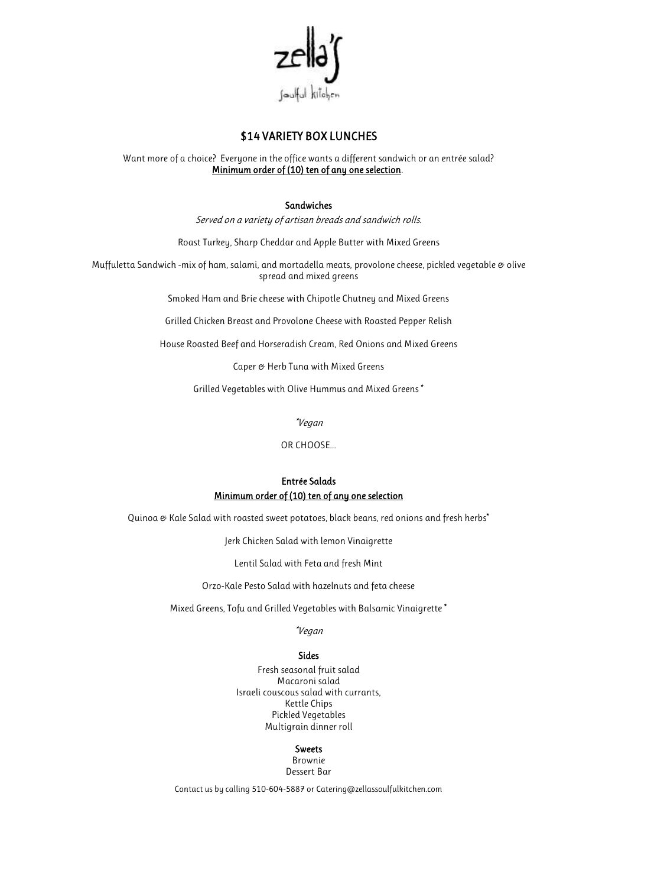

### \$14 VARIETY BOX LUNCHES

Want more of a choice? Everyone in the office wants a different sandwich or an entrée salad? Minimum order of (10) ten of any one selection.

#### **Sandwiches**

Served on a variety of artisan breads and sandwich rolls.

Roast Turkey, Sharp Cheddar and Apple Butter with Mixed Greens

Muffuletta Sandwich -mix of ham, salami, and mortadella meats, provolone cheese, pickled vegetable & olive spread and mixed greens

Smoked Ham and Brie cheese with Chipotle Chutney and Mixed Greens

Grilled Chicken Breast and Provolone Cheese with Roasted Pepper Relish

House Roasted Beef and Horseradish Cream, Red Onions and Mixed Greens

Caper & Herb Tuna with Mixed Greens

Grilled Vegetables with Olive Hummus and Mixed Greens \*

\*Vegan

OR CHOOSE...

### Entrée Salads Minimum order of (10) ten of any one selection

Quinoa & Kale Salad with roasted sweet potatoes, black beans, red onions and fresh herbs\*

Jerk Chicken Salad with lemon Vinaigrette

Lentil Salad with Feta and fresh Mint

Orzo-Kale Pesto Salad with hazelnuts and feta cheese

Mixed Greens, Tofu and Grilled Vegetables with Balsamic Vinaigrette \*

\*Vegan

#### Sides

Fresh seasonal fruit salad Macaroni salad Israeli couscous salad with currants, Kettle Chips Pickled Vegetables Multigrain dinner roll

#### Sweets

Brownie Dessert Bar